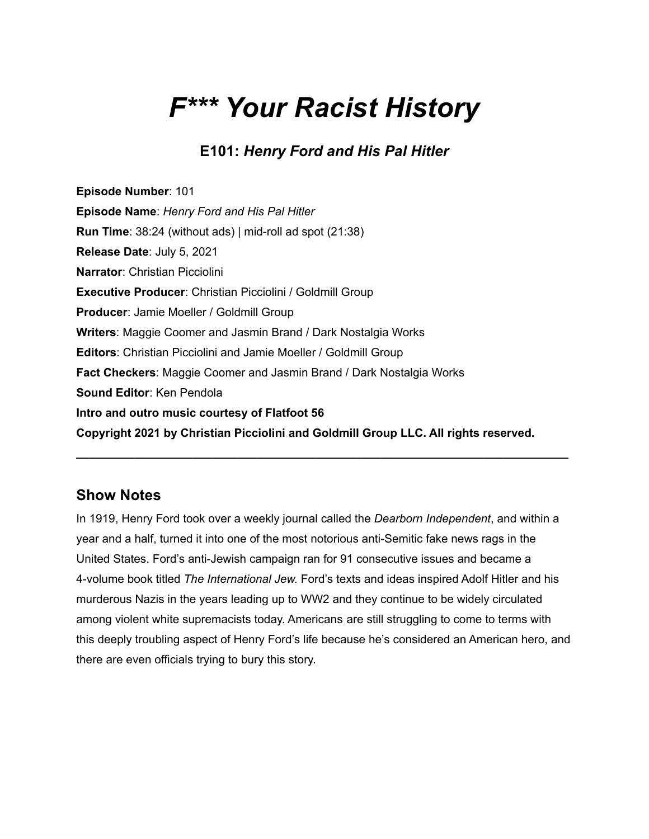# *F\*\*\* Your Racist History*

# **E101:** *Henry Ford and His Pal Hitler*

**Episode Number**: 101 **Episode Name**: *Henry Ford and His Pal Hitler* **Run Time**: 38:24 (without ads) | mid-roll ad spot (21:38) **Release Date**: July 5, 2021 **Narrator**: Christian Picciolini **Executive Producer**: Christian Picciolini / Goldmill Group **Producer**: Jamie Moeller / Goldmill Group **Writers**: Maggie Coomer and Jasmin Brand / Dark Nostalgia Works **Editors**: Christian Picciolini and Jamie Moeller / Goldmill Group **Fact Checkers**: Maggie Coomer and Jasmin Brand / Dark Nostalgia Works **Sound Editor**: Ken Pendola **Intro and outro music courtesy of Flatfoot 56 Copyright 2021 by Christian Picciolini and Goldmill Group LLC. All rights reserved.**

## **Show Notes**

In 1919, Henry Ford took over a weekly journal called the *Dearborn Independent*, and within a year and a half, turned it into one of the most notorious anti-Semitic fake news rags in the United States. Ford's anti-Jewish campaign ran for 91 consecutive issues and became a 4-volume book titled *The International Jew.* Ford's texts and ideas inspired Adolf Hitler and his murderous Nazis in the years leading up to WW2 and they continue to be widely circulated among violent white supremacists today. Americans are still struggling to come to terms with this deeply troubling aspect of Henry Ford's life because he's considered an American hero, and there are even officials trying to bury this story.

**\_\_\_\_\_\_\_\_\_\_\_\_\_\_\_\_\_\_\_\_\_\_\_\_\_\_\_\_\_\_\_\_\_\_\_\_\_\_\_\_\_\_\_\_\_\_\_\_\_\_\_\_\_\_\_\_\_\_\_\_\_\_\_\_\_\_\_\_\_\_\_\_\_\_\_\_**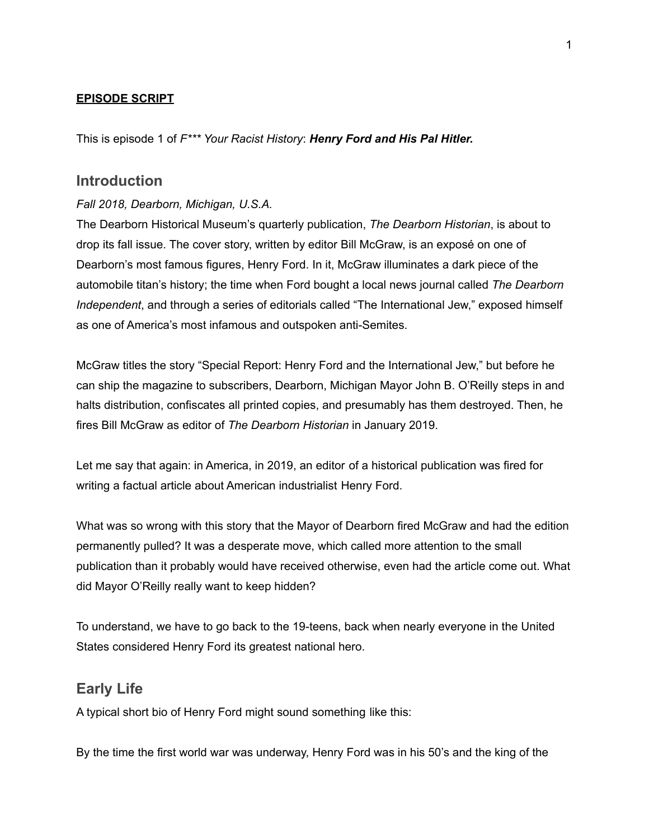#### **EPISODE SCRIPT**

This is episode 1 of *F\*\*\* Your Racist History*: *Henry Ford and His Pal Hitler.*

#### **Introduction**

#### *Fall 2018, Dearborn, Michigan, U.S.A.*

The Dearborn Historical Museum's quarterly publication, *The Dearborn Historian*, is about to drop its fall issue. The cover story, written by editor Bill McGraw, is an exposé on one of Dearborn's most famous figures, Henry Ford. In it, McGraw illuminates a dark piece of the automobile titan's history; the time when Ford bought a local news journal called *The Dearborn Independent*, and through a series of editorials called "The International Jew," exposed himself as one of America's most infamous and outspoken anti-Semites.

McGraw titles the story "Special Report: Henry Ford and the International Jew," but before he can ship the magazine to subscribers, Dearborn, Michigan Mayor John B. O'Reilly steps in and halts distribution, confiscates all printed copies, and presumably has them destroyed. Then, he fires Bill McGraw as editor of *The Dearborn Historian* in January 2019.

Let me say that again: in America, in 2019, an editor of a historical publication was fired for writing a factual article about American industrialist Henry Ford.

What was so wrong with this story that the Mayor of Dearborn fired McGraw and had the edition permanently pulled? It was a desperate move, which called more attention to the small publication than it probably would have received otherwise, even had the article come out. What did Mayor O'Reilly really want to keep hidden?

To understand, we have to go back to the 19-teens, back when nearly everyone in the United States considered Henry Ford its greatest national hero.

#### **Early Life**

A typical short bio of Henry Ford might sound something like this:

By the time the first world war was underway, Henry Ford was in his 50's and the king of the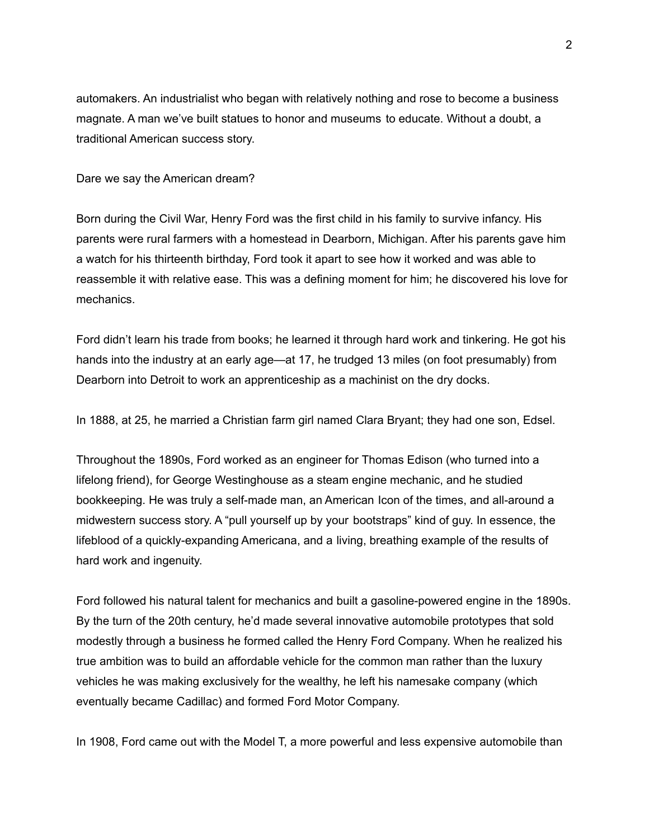automakers. An industrialist who began with relatively nothing and rose to become a business magnate. A man we've built statues to honor and museums to educate. Without a doubt, a traditional American success story.

Dare we say the American dream?

Born during the Civil War, Henry Ford was the first child in his family to survive infancy. His parents were rural farmers with a homestead in Dearborn, Michigan. After his parents gave him a watch for his thirteenth birthday, Ford took it apart to see how it worked and was able to reassemble it with relative ease. This was a defining moment for him; he discovered his love for mechanics.

Ford didn't learn his trade from books; he learned it through hard work and tinkering. He got his hands into the industry at an early age—at 17, he trudged 13 miles (on foot presumably) from Dearborn into Detroit to work an apprenticeship as a machinist on the dry docks.

In 1888, at 25, he married a Christian farm girl named Clara Bryant; they had one son, Edsel.

Throughout the 1890s, Ford worked as an engineer for Thomas Edison (who turned into a lifelong friend), for George Westinghouse as a steam engine mechanic, and he studied bookkeeping. He was truly a self-made man, an American Icon of the times, and all-around a midwestern success story. A "pull yourself up by your bootstraps" kind of guy. In essence, the lifeblood of a quickly-expanding Americana, and a living, breathing example of the results of hard work and ingenuity.

Ford followed his natural talent for mechanics and built a gasoline-powered engine in the 1890s. By the turn of the 20th century, he'd made several innovative automobile prototypes that sold modestly through a business he formed called the Henry Ford Company. When he realized his true ambition was to build an affordable vehicle for the common man rather than the luxury vehicles he was making exclusively for the wealthy, he left his namesake company (which eventually became Cadillac) and formed Ford Motor Company.

In 1908, Ford came out with the Model T, a more powerful and less expensive automobile than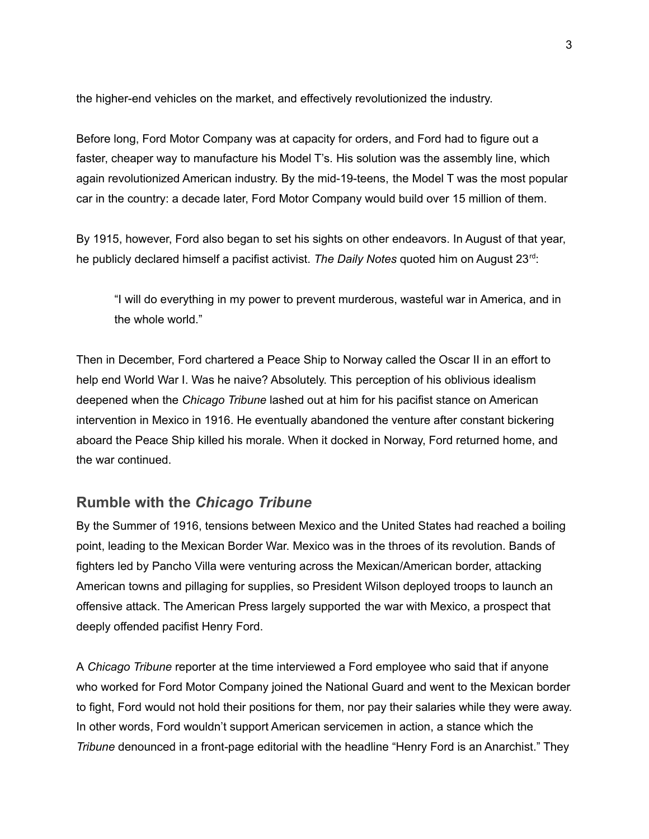the higher-end vehicles on the market, and effectively revolutionized the industry.

Before long, Ford Motor Company was at capacity for orders, and Ford had to figure out a faster, cheaper way to manufacture his Model T's. His solution was the assembly line, which again revolutionized American industry. By the mid-19-teens, the Model T was the most popular car in the country: a decade later, Ford Motor Company would build over 15 million of them.

By 1915, however, Ford also began to set his sights on other endeavors. In August of that year, he publicly declared himself a pacifist activist. The Daily Notes quoted him on August 23<sup>rd</sup>:

"I will do everything in my power to prevent murderous, wasteful war in America, and in the whole world."

Then in December, Ford chartered a Peace Ship to Norway called the Oscar II in an effort to help end World War I. Was he naive? Absolutely. This perception of his oblivious idealism deepened when the *Chicago Tribune* lashed out at him for his pacifist stance on American intervention in Mexico in 1916. He eventually abandoned the venture after constant bickering aboard the Peace Ship killed his morale. When it docked in Norway, Ford returned home, and the war continued.

#### **Rumble with the** *Chicago Tribune*

By the Summer of 1916, tensions between Mexico and the United States had reached a boiling point, leading to the Mexican Border War. Mexico was in the throes of its revolution. Bands of fighters led by Pancho Villa were venturing across the Mexican/American border, attacking American towns and pillaging for supplies, so President Wilson deployed troops to launch an offensive attack. The American Press largely supported the war with Mexico, a prospect that deeply offended pacifist Henry Ford.

A *Chicago Tribune* reporter at the time interviewed a Ford employee who said that if anyone who worked for Ford Motor Company joined the National Guard and went to the Mexican border to fight, Ford would not hold their positions for them, nor pay their salaries while they were away. In other words, Ford wouldn't support American servicemen in action, a stance which the *Tribune* denounced in a front-page editorial with the headline "Henry Ford is an Anarchist." They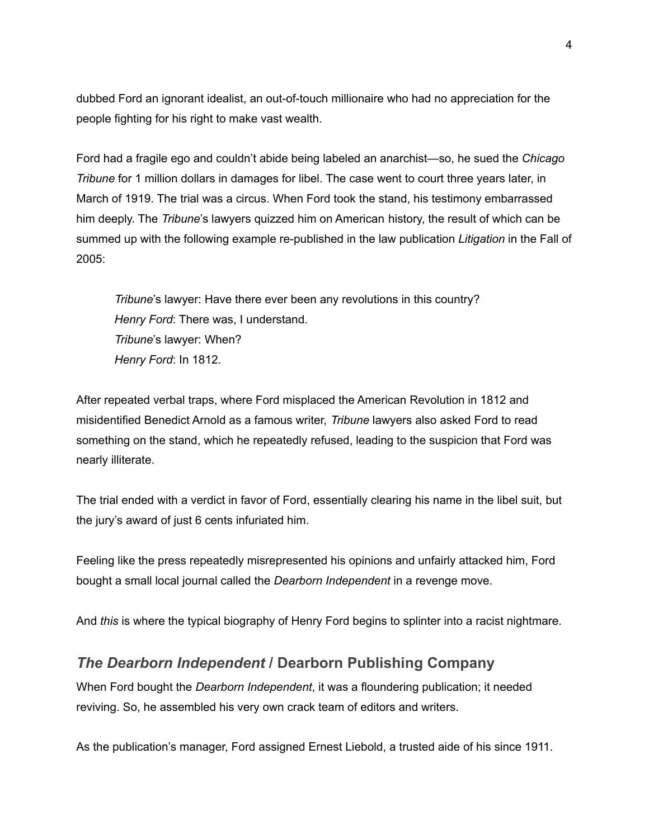dubbed Ford an ignorant idealist, an out-of-touch millionaire who had no appreciation for the people fighting for his right to make vast wealth.

Ford had a fragile ego and couldn't abide being labeled an anarchist—so, he sued the *Chicago Tribune* for 1 million dollars in damages for libel. The case went to court three years later, in March of 1919. The trial was a circus. When Ford took the stand, his testimony embarrassed him deeply. The *Tribune*'s lawyers quizzed him on American history, the result of which can be summed up with the following example re-published in the law publication *Litigation* in the Fall of 2005:

*Tribune*'s lawyer: Have there ever been any revolutions in this country? *Henry Ford*: There was, I understand. *Tribune*'s lawyer: When? *Henry Ford*: In 1812.

After repeated verbal traps, where Ford misplaced the American Revolution in 1812 and misidentified Benedict Arnold as a famous writer, *Tribune* lawyers also asked Ford to read something on the stand, which he repeatedly refused, leading to the suspicion that Ford was nearly illiterate.

The trial ended with a verdict in favor of Ford, essentially clearing his name in the libel suit, but the jury's award of just 6 cents infuriated him.

Feeling like the press repeatedly misrepresented his opinions and unfairly attacked him, Ford bought a small local journal called the *Dearborn Independent* in a revenge move.

And *this* is where the typical biography of Henry Ford begins to splinter into a racist nightmare.

## *The Dearborn Independent* **/ Dearborn Publishing Company**

When Ford bought the *Dearborn Independent*, it was a floundering publication; it needed reviving. So, he assembled his very own crack team of editors and writers.

As the publication's manager, Ford assigned Ernest Liebold, a trusted aide of his since 1911.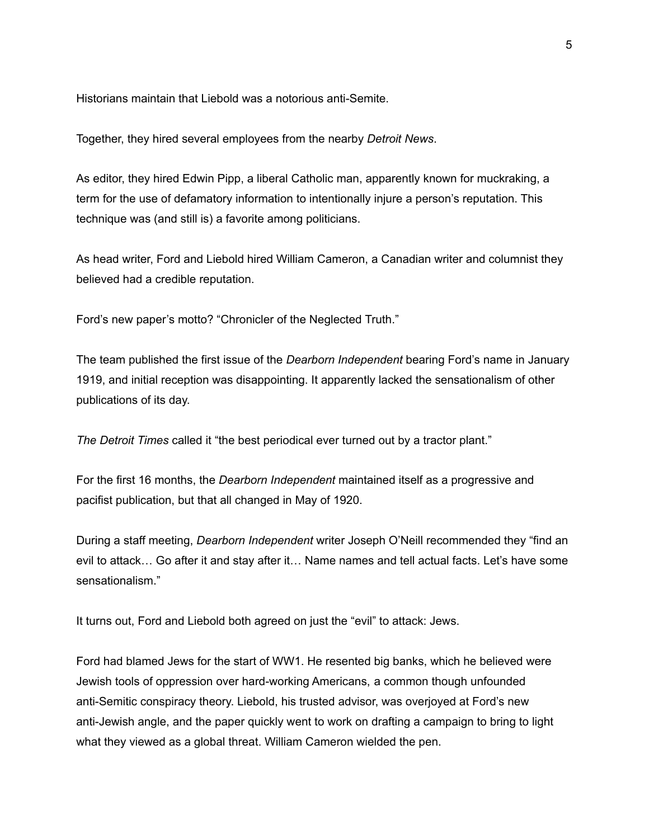Historians maintain that Liebold was a notorious anti-Semite.

Together, they hired several employees from the nearby *Detroit News*.

As editor, they hired Edwin Pipp, a liberal Catholic man, apparently known for muckraking, a term for the use of defamatory information to intentionally injure a person's reputation. This technique was (and still is) a favorite among politicians.

As head writer, Ford and Liebold hired William Cameron, a Canadian writer and columnist they believed had a credible reputation.

Ford's new paper's motto? "Chronicler of the Neglected Truth."

The team published the first issue of the *Dearborn Independent* bearing Ford's name in January 1919, and initial reception was disappointing. It apparently lacked the sensationalism of other publications of its day.

*The Detroit Times* called it "the best periodical ever turned out by a tractor plant."

For the first 16 months, the *Dearborn Independent* maintained itself as a progressive and pacifist publication, but that all changed in May of 1920.

During a staff meeting, *Dearborn Independent* writer Joseph O'Neill recommended they "find an evil to attack… Go after it and stay after it… Name names and tell actual facts. Let's have some sensationalism."

It turns out, Ford and Liebold both agreed on just the "evil" to attack: Jews.

Ford had blamed Jews for the start of WW1. He resented big banks, which he believed were Jewish tools of oppression over hard-working Americans, a common though unfounded anti-Semitic conspiracy theory. Liebold, his trusted advisor, was overjoyed at Ford's new anti-Jewish angle, and the paper quickly went to work on drafting a campaign to bring to light what they viewed as a global threat. William Cameron wielded the pen.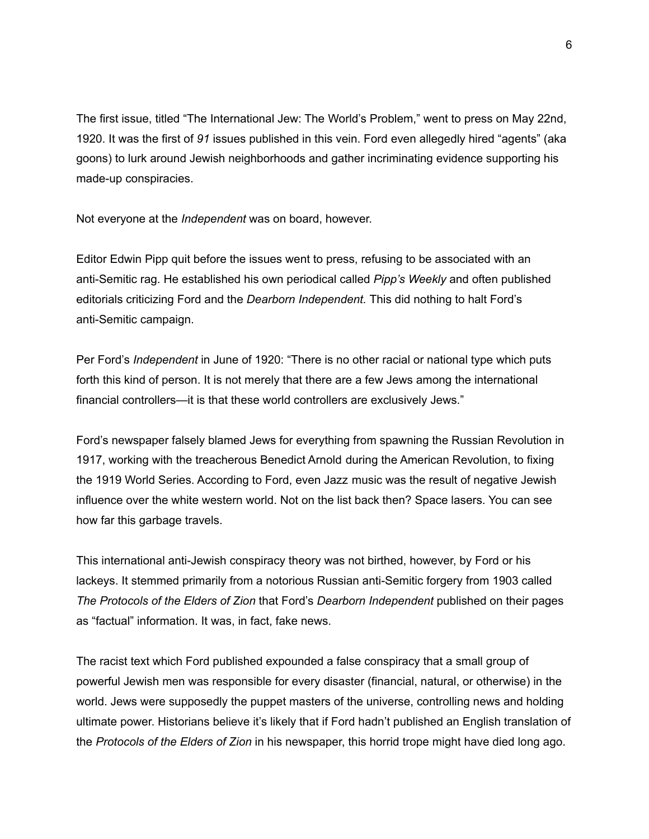The first issue, titled "The International Jew: The World's Problem," went to press on May 22nd, 1920. It was the first of *91* issues published in this vein. Ford even allegedly hired "agents" (aka goons) to lurk around Jewish neighborhoods and gather incriminating evidence supporting his made-up conspiracies.

Not everyone at the *Independent* was on board, however.

Editor Edwin Pipp quit before the issues went to press, refusing to be associated with an anti-Semitic rag. He established his own periodical called *Pipp's Weekly* and often published editorials criticizing Ford and the *Dearborn Independent.* This did nothing to halt Ford's anti-Semitic campaign.

Per Ford's *Independent* in June of 1920: "There is no other racial or national type which puts forth this kind of person. It is not merely that there are a few Jews among the international financial controllers—it is that these world controllers are exclusively Jews."

Ford's newspaper falsely blamed Jews for everything from spawning the Russian Revolution in 1917, working with the treacherous Benedict Arnold during the American Revolution, to fixing the 1919 World Series. According to Ford, even Jazz music was the result of negative Jewish influence over the white western world. Not on the list back then? Space lasers. You can see how far this garbage travels.

This international anti-Jewish conspiracy theory was not birthed, however, by Ford or his lackeys. It stemmed primarily from a notorious Russian anti-Semitic forgery from 1903 called *The Protocols of the Elders of Zion* that Ford's *Dearborn Independent* published on their pages as "factual" information. It was, in fact, fake news.

The racist text which Ford published expounded a false conspiracy that a small group of powerful Jewish men was responsible for every disaster (financial, natural, or otherwise) in the world. Jews were supposedly the puppet masters of the universe, controlling news and holding ultimate power. Historians believe it's likely that if Ford hadn't published an English translation of the *Protocols of the Elders of Zion* in his newspaper, this horrid trope might have died long ago.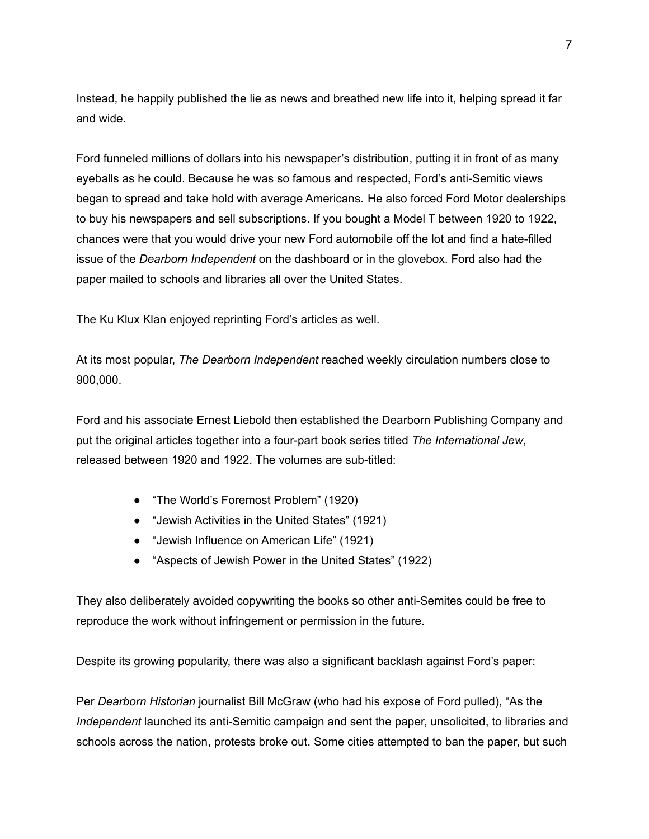Instead, he happily published the lie as news and breathed new life into it, helping spread it far and wide.

Ford funneled millions of dollars into his newspaper's distribution, putting it in front of as many eyeballs as he could. Because he was so famous and respected, Ford's anti-Semitic views began to spread and take hold with average Americans. He also forced Ford Motor dealerships to buy his newspapers and sell subscriptions. If you bought a Model T between 1920 to 1922, chances were that you would drive your new Ford automobile off the lot and find a hate-filled issue of the *Dearborn Independent* on the dashboard or in the glovebox. Ford also had the paper mailed to schools and libraries all over the United States.

The Ku Klux Klan enjoyed reprinting Ford's articles as well.

At its most popular, *The Dearborn Independent* reached weekly circulation numbers close to 900,000.

Ford and his associate Ernest Liebold then established the Dearborn Publishing Company and put the original articles together into a four-part book series titled *The International Jew*, released between 1920 and 1922. The volumes are sub-titled:

- "The World's Foremost Problem" (1920)
- "Jewish Activities in the United States" (1921)
- "Jewish Influence on American Life" (1921)
- "Aspects of Jewish Power in the United States" (1922)

They also deliberately avoided copywriting the books so other anti-Semites could be free to reproduce the work without infringement or permission in the future.

Despite its growing popularity, there was also a significant backlash against Ford's paper:

Per *Dearborn Historian* journalist Bill McGraw (who had his expose of Ford pulled), "As the *Independent* launched its anti-Semitic campaign and sent the paper, unsolicited, to libraries and schools across the nation, protests broke out. Some cities attempted to ban the paper, but such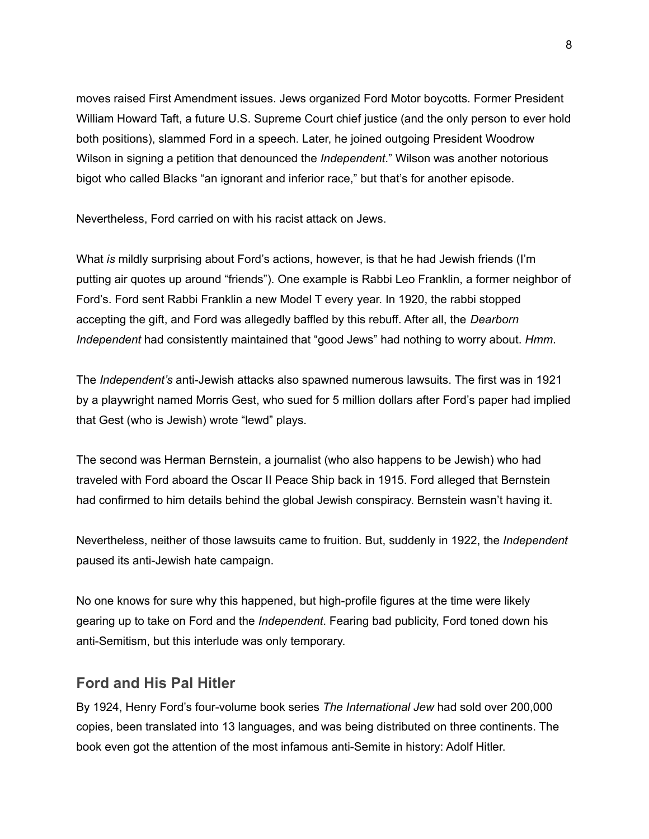moves raised First Amendment issues. Jews organized Ford Motor boycotts. Former President William Howard Taft, a future U.S. Supreme Court chief justice (and the only person to ever hold both positions), slammed Ford in a speech. Later, he joined outgoing President Woodrow Wilson in signing a petition that denounced the *Independent*." Wilson was another notorious bigot who called Blacks "an ignorant and inferior race," but that's for another episode.

Nevertheless, Ford carried on with his racist attack on Jews.

What *is* mildly surprising about Ford's actions, however, is that he had Jewish friends (I'm putting air quotes up around "friends"). One example is Rabbi Leo Franklin, a former neighbor of Ford's. Ford sent Rabbi Franklin a new Model T every year. In 1920, the rabbi stopped accepting the gift, and Ford was allegedly baffled by this rebuff. After all, the *Dearborn Independent* had consistently maintained that "good Jews" had nothing to worry about. *Hmm*.

The *Independent's* anti-Jewish attacks also spawned numerous lawsuits. The first was in 1921 by a playwright named Morris Gest, who sued for 5 million dollars after Ford's paper had implied that Gest (who is Jewish) wrote "lewd" plays.

The second was Herman Bernstein, a journalist (who also happens to be Jewish) who had traveled with Ford aboard the Oscar II Peace Ship back in 1915. Ford alleged that Bernstein had confirmed to him details behind the global Jewish conspiracy. Bernstein wasn't having it.

Nevertheless, neither of those lawsuits came to fruition. But, suddenly in 1922, the *Independent* paused its anti-Jewish hate campaign.

No one knows for sure why this happened, but high-profile figures at the time were likely gearing up to take on Ford and the *Independent*. Fearing bad publicity, Ford toned down his anti-Semitism, but this interlude was only temporary.

#### **Ford and His Pal Hitler**

By 1924, Henry Ford's four-volume book series *The International Jew* had sold over 200,000 copies, been translated into 13 languages, and was being distributed on three continents. The book even got the attention of the most infamous anti-Semite in history: Adolf Hitler.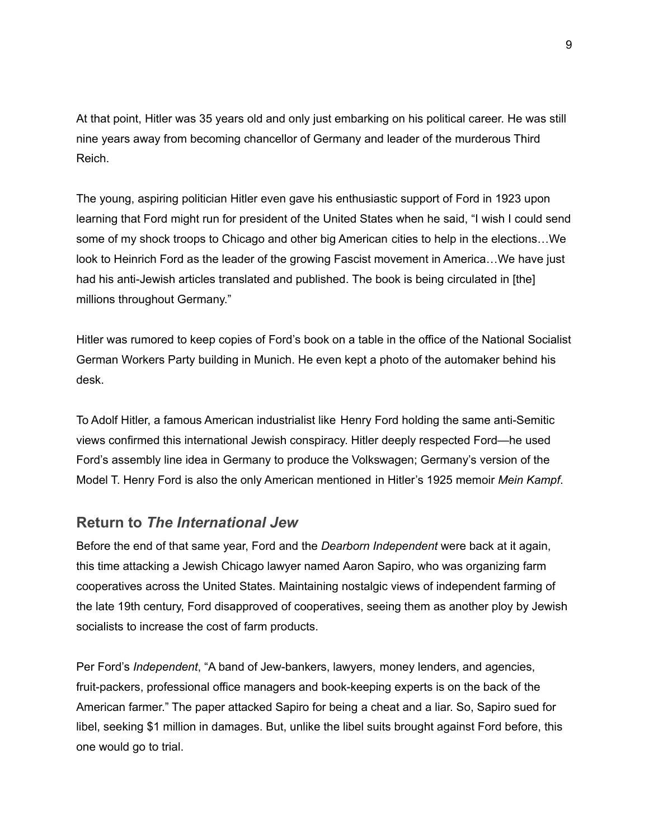At that point, Hitler was 35 years old and only just embarking on his political career. He was still nine years away from becoming chancellor of Germany and leader of the murderous Third Reich.

The young, aspiring politician Hitler even gave his enthusiastic support of Ford in 1923 upon learning that Ford might run for president of the United States when he said, "I wish I could send some of my shock troops to Chicago and other big American cities to help in the elections…We look to Heinrich Ford as the leader of the growing Fascist movement in America…We have just had his anti-Jewish articles translated and published. The book is being circulated in [the] millions throughout Germany."

Hitler was rumored to keep copies of Ford's book on a table in the office of the National Socialist German Workers Party building in Munich. He even kept a photo of the automaker behind his desk.

To Adolf Hitler, a famous American industrialist like Henry Ford holding the same anti-Semitic views confirmed this international Jewish conspiracy. Hitler deeply respected Ford—he used Ford's assembly line idea in Germany to produce the Volkswagen; Germany's version of the Model T. Henry Ford is also the only American mentioned in Hitler's 1925 memoir *Mein Kampf*.

#### **Return to** *The International Jew*

Before the end of that same year, Ford and the *Dearborn Independent* were back at it again, this time attacking a Jewish Chicago lawyer named Aaron Sapiro, who was organizing farm cooperatives across the United States. Maintaining nostalgic views of independent farming of the late 19th century, Ford disapproved of cooperatives, seeing them as another ploy by Jewish socialists to increase the cost of farm products.

Per Ford's *Independent*, "A band of Jew-bankers, lawyers, money lenders, and agencies, fruit-packers, professional office managers and book-keeping experts is on the back of the American farmer." The paper attacked Sapiro for being a cheat and a liar. So, Sapiro sued for libel, seeking \$1 million in damages. But, unlike the libel suits brought against Ford before, this one would go to trial.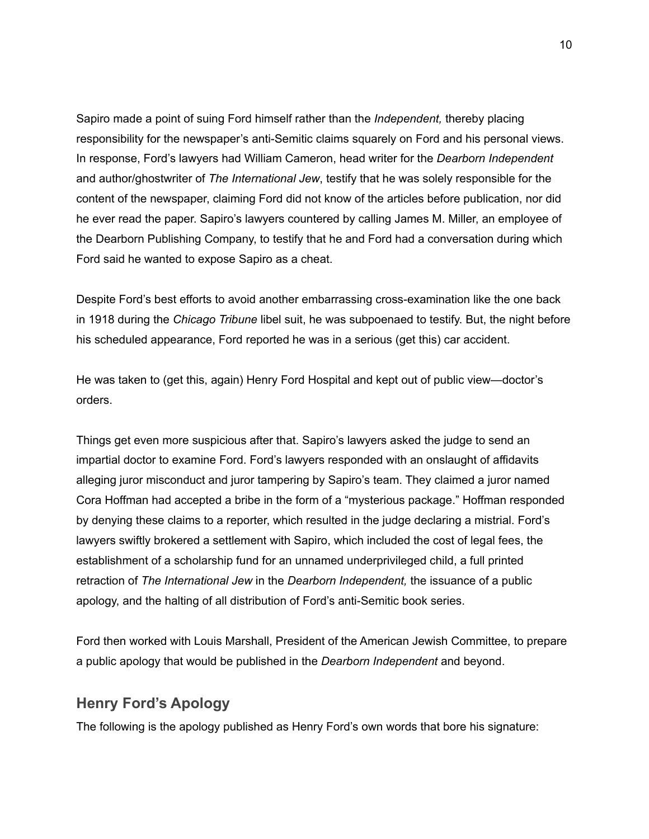Sapiro made a point of suing Ford himself rather than the *Independent,* thereby placing responsibility for the newspaper's anti-Semitic claims squarely on Ford and his personal views. In response, Ford's lawyers had William Cameron, head writer for the *Dearborn Independent* and author/ghostwriter of *The International Jew*, testify that he was solely responsible for the content of the newspaper, claiming Ford did not know of the articles before publication, nor did he ever read the paper. Sapiro's lawyers countered by calling James M. Miller, an employee of the Dearborn Publishing Company, to testify that he and Ford had a conversation during which Ford said he wanted to expose Sapiro as a cheat.

Despite Ford's best efforts to avoid another embarrassing cross-examination like the one back in 1918 during the *Chicago Tribune* libel suit, he was subpoenaed to testify. But, the night before his scheduled appearance, Ford reported he was in a serious (get this) car accident.

He was taken to (get this, again) Henry Ford Hospital and kept out of public view—doctor's orders.

Things get even more suspicious after that. Sapiro's lawyers asked the judge to send an impartial doctor to examine Ford. Ford's lawyers responded with an onslaught of affidavits alleging juror misconduct and juror tampering by Sapiro's team. They claimed a juror named Cora Hoffman had accepted a bribe in the form of a "mysterious package." Hoffman responded by denying these claims to a reporter, which resulted in the judge declaring a mistrial. Ford's lawyers swiftly brokered a settlement with Sapiro, which included the cost of legal fees, the establishment of a scholarship fund for an unnamed underprivileged child, a full printed retraction of *The International Jew* in the *Dearborn Independent,* the issuance of a public apology, and the halting of all distribution of Ford's anti-Semitic book series.

Ford then worked with Louis Marshall, President of the American Jewish Committee, to prepare a public apology that would be published in the *Dearborn Independent* and beyond.

## **Henry Ford's Apology**

The following is the apology published as Henry Ford's own words that bore his signature: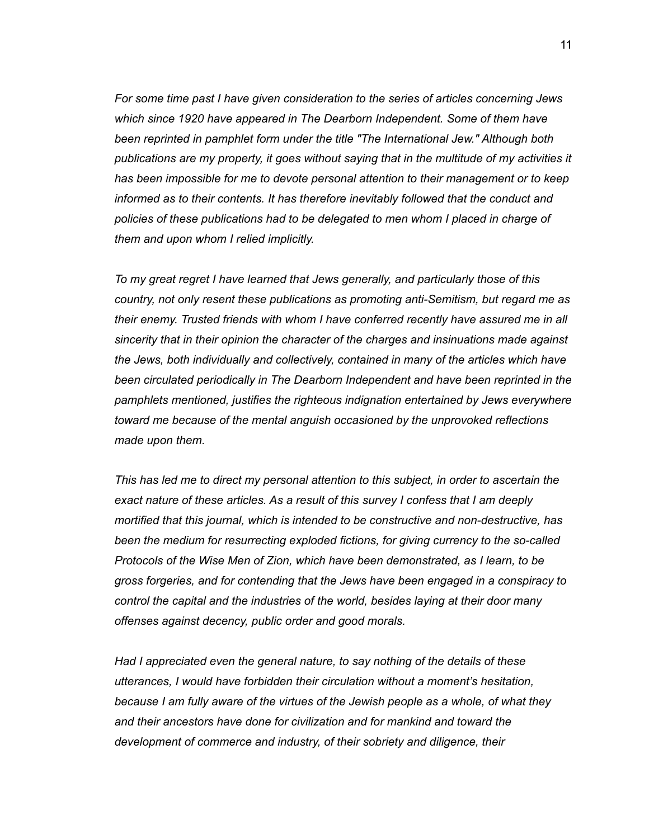*For some time past I have given consideration to the series of articles concerning Jews which since 1920 have appeared in The Dearborn Independent. Some of them have been reprinted in pamphlet form under the title "The International Jew." Although both publications are my property, it goes without saying that in the multitude of my activities it has been impossible for me to devote personal attention to their management or to keep informed as to their contents. It has therefore inevitably followed that the conduct and policies of these publications had to be delegated to men whom I placed in charge of them and upon whom I relied implicitly.*

*To my great regret I have learned that Jews generally, and particularly those of this country, not only resent these publications as promoting anti-Semitism, but regard me as their enemy. Trusted friends with whom I have conferred recently have assured me in all sincerity that in their opinion the character of the charges and insinuations made against the Jews, both individually and collectively, contained in many of the articles which have been circulated periodically in The Dearborn Independent and have been reprinted in the pamphlets mentioned, justifies the righteous indignation entertained by Jews everywhere toward me because of the mental anguish occasioned by the unprovoked reflections made upon them.*

*This has led me to direct my personal attention to this subject, in order to ascertain the exact nature of these articles. As a result of this survey I confess that I am deeply mortified that this journal, which is intended to be constructive and non-destructive, has been the medium for resurrecting exploded fictions, for giving currency to the so-called Protocols of the Wise Men of Zion, which have been demonstrated, as I learn, to be gross forgeries, and for contending that the Jews have been engaged in a conspiracy to control the capital and the industries of the world, besides laying at their door many offenses against decency, public order and good morals.*

*Had I appreciated even the general nature, to say nothing of the details of these utterances, I would have forbidden their circulation without a moment's hesitation, because I am fully aware of the virtues of the Jewish people as a whole, of what they and their ancestors have done for civilization and for mankind and toward the development of commerce and industry, of their sobriety and diligence, their*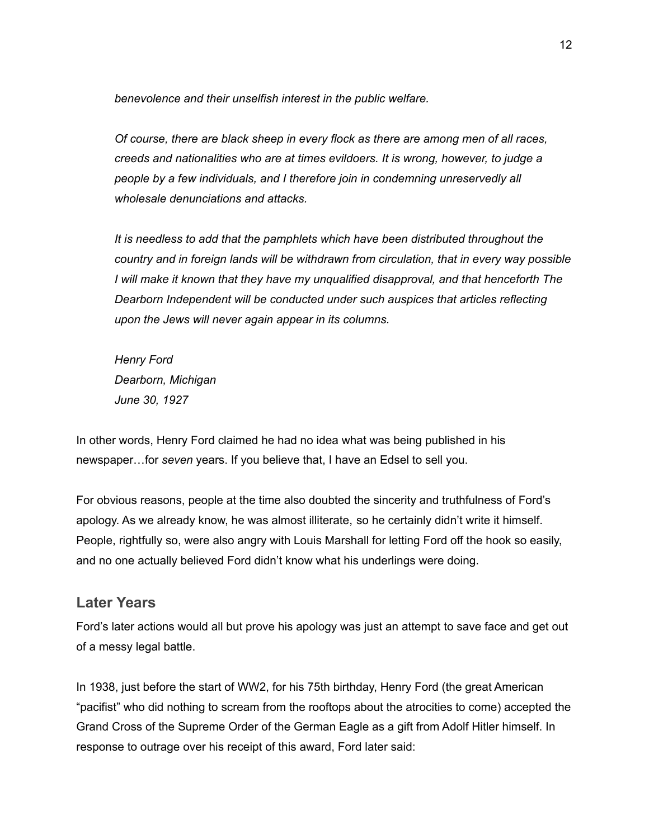*benevolence and their unselfish interest in the public welfare.*

*Of course, there are black sheep in every flock as there are among men of all races, creeds and nationalities who are at times evildoers. It is wrong, however, to judge a people by a few individuals, and I therefore join in condemning unreservedly all wholesale denunciations and attacks.*

*It is needless to add that the pamphlets which have been distributed throughout the country and in foreign lands will be withdrawn from circulation, that in every way possible I will make it known that they have my unqualified disapproval, and that henceforth The Dearborn Independent will be conducted under such auspices that articles reflecting upon the Jews will never again appear in its columns.*

*Henry Ford Dearborn, Michigan June 30, 1927*

In other words, Henry Ford claimed he had no idea what was being published in his newspaper…for *seven* years. If you believe that, I have an Edsel to sell you.

For obvious reasons, people at the time also doubted the sincerity and truthfulness of Ford's apology. As we already know, he was almost illiterate, so he certainly didn't write it himself. People, rightfully so, were also angry with Louis Marshall for letting Ford off the hook so easily, and no one actually believed Ford didn't know what his underlings were doing.

#### **Later Years**

Ford's later actions would all but prove his apology was just an attempt to save face and get out of a messy legal battle.

In 1938, just before the start of WW2, for his 75th birthday, Henry Ford (the great American "pacifist" who did nothing to scream from the rooftops about the atrocities to come) accepted the Grand Cross of the Supreme Order of the German Eagle as a gift from Adolf Hitler himself. In response to outrage over his receipt of this award, Ford later said: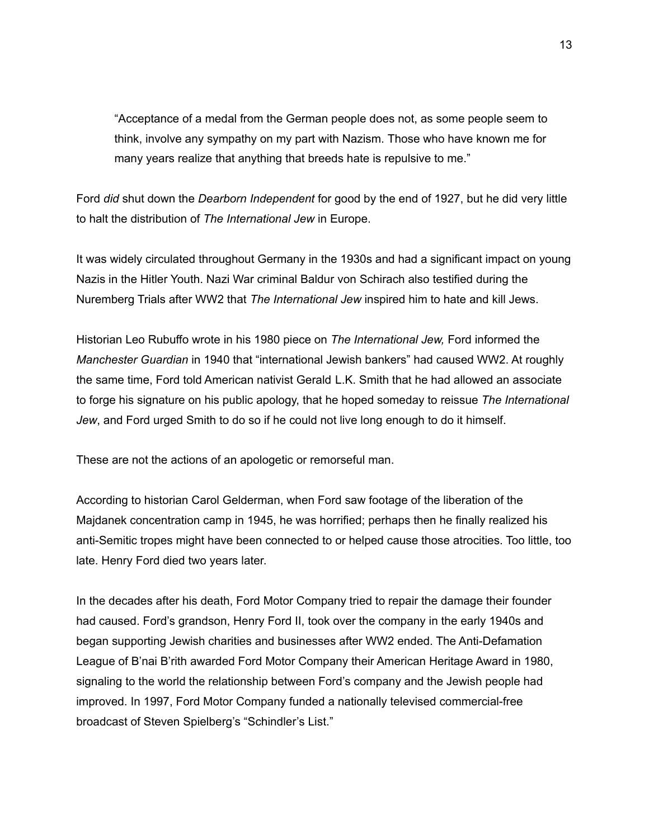"Acceptance of a medal from the German people does not, as some people seem to think, involve any sympathy on my part with Nazism. Those who have known me for many years realize that anything that breeds hate is repulsive to me."

Ford *did* shut down the *Dearborn Independent* for good by the end of 1927, but he did very little to halt the distribution of *The International Jew* in Europe.

It was widely circulated throughout Germany in the 1930s and had a significant impact on young Nazis in the Hitler Youth. Nazi War criminal Baldur von Schirach also testified during the Nuremberg Trials after WW2 that *The International Jew* inspired him to hate and kill Jews.

Historian Leo Rubuffo wrote in his 1980 piece on *The International Jew,* Ford informed the *Manchester Guardian* in 1940 that "international Jewish bankers" had caused WW2. At roughly the same time, Ford told American nativist Gerald L.K. Smith that he had allowed an associate to forge his signature on his public apology, that he hoped someday to reissue *The International Jew*, and Ford urged Smith to do so if he could not live long enough to do it himself.

These are not the actions of an apologetic or remorseful man.

According to historian Carol Gelderman, when Ford saw footage of the liberation of the Majdanek concentration camp in 1945, he was horrified; perhaps then he finally realized his anti-Semitic tropes might have been connected to or helped cause those atrocities. Too little, too late. Henry Ford died two years later.

In the decades after his death, Ford Motor Company tried to repair the damage their founder had caused. Ford's grandson, Henry Ford II, took over the company in the early 1940s and began supporting Jewish charities and businesses after WW2 ended. The Anti-Defamation League of B'nai B'rith awarded Ford Motor Company their American Heritage Award in 1980, signaling to the world the relationship between Ford's company and the Jewish people had improved. In 1997, Ford Motor Company funded a nationally televised commercial-free broadcast of Steven Spielberg's "Schindler's List."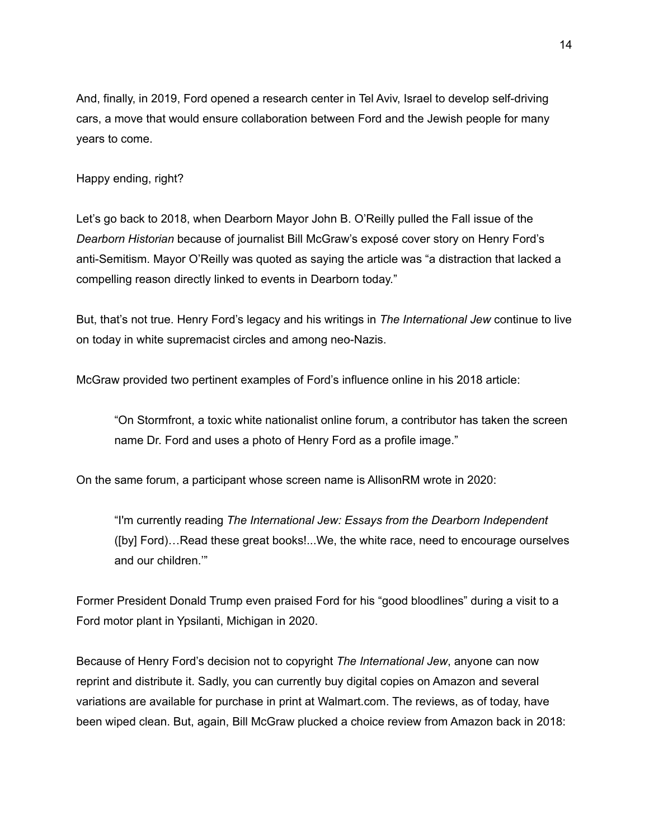And, finally, in 2019, Ford opened a research center in Tel Aviv, Israel to develop self-driving cars, a move that would ensure collaboration between Ford and the Jewish people for many years to come.

Happy ending, right?

Let's go back to 2018, when Dearborn Mayor John B. O'Reilly pulled the Fall issue of the *Dearborn Historian* because of journalist Bill McGraw's exposé cover story on Henry Ford's anti-Semitism. Mayor O'Reilly was quoted as saying the article was "a distraction that lacked a compelling reason directly linked to events in Dearborn today."

But, that's not true. Henry Ford's legacy and his writings in *The International Jew* continue to live on today in white supremacist circles and among neo-Nazis.

McGraw provided two pertinent examples of Ford's influence online in his 2018 article:

"On Stormfront, a toxic white nationalist online forum, a contributor has taken the screen name Dr. Ford and uses a photo of Henry Ford as a profile image."

On the same forum, a participant whose screen name is AllisonRM wrote in 2020:

"I'm currently reading *The International Jew: Essays from the Dearborn Independent* ([by] Ford)…Read these great books!...We, the white race, need to encourage ourselves and our children.'"

Former President Donald Trump even praised Ford for his "good bloodlines" during a visit to a Ford motor plant in Ypsilanti, Michigan in 2020.

Because of Henry Ford's decision not to copyright *The International Jew*, anyone can now reprint and distribute it. Sadly, you can currently buy digital copies on Amazon and several variations are available for purchase in print at Walmart.com. The reviews, as of today, have been wiped clean. But, again, Bill McGraw plucked a choice review from Amazon back in 2018: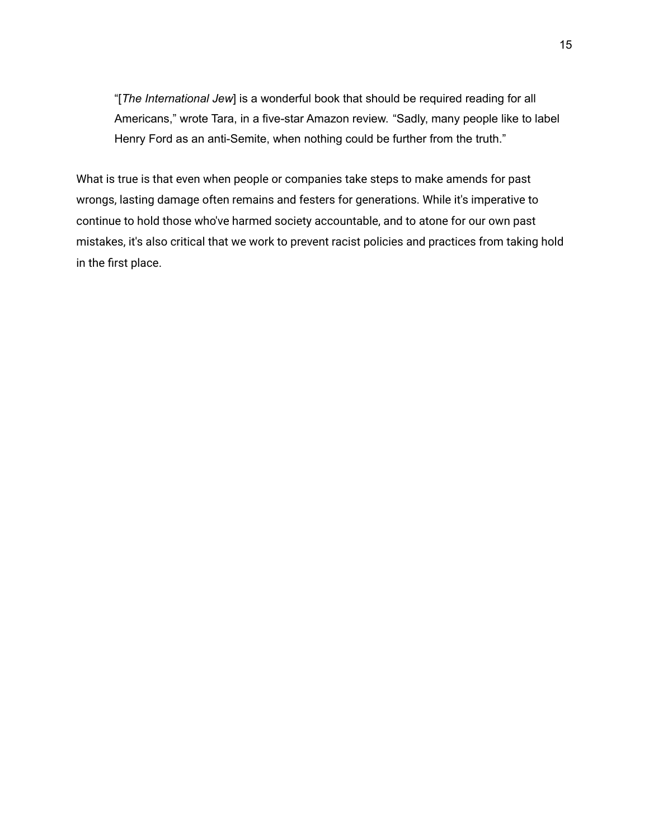"[*The International Jew*] is a wonderful book that should be required reading for all Americans," wrote Tara, in a five-star Amazon review. "Sadly, many people like to label Henry Ford as an anti-Semite, when nothing could be further from the truth."

What is true is that even when people or companies take steps to make amends for past wrongs, lasting damage often remains and festers for generations. While it's imperative to continue to hold those who've harmed society accountable, and to atone for our own past mistakes, it's also critical that we work to prevent racist policies and practices from taking hold in the first place.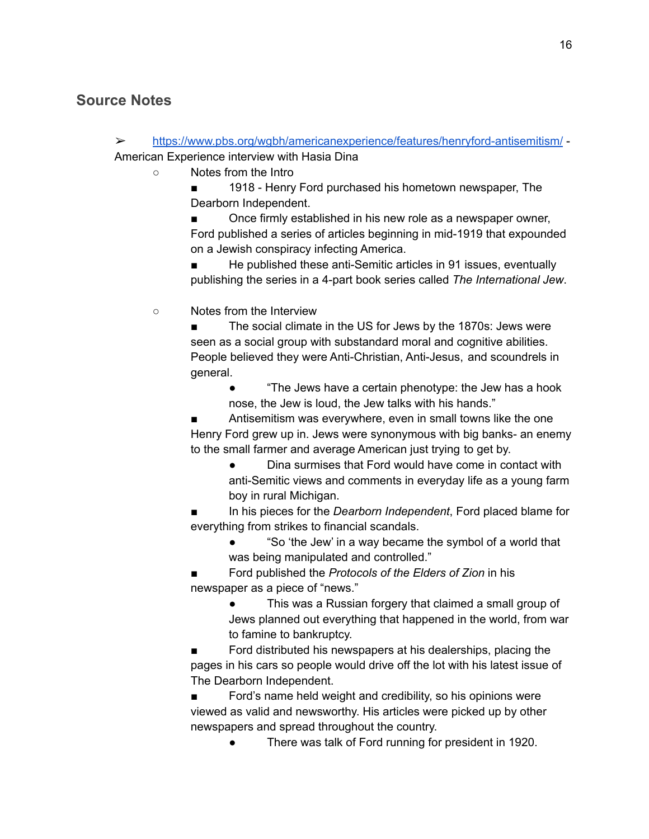## **Source Notes**

➢ <https://www.pbs.org/wgbh/americanexperience/features/henryford-antisemitism/> -

American Experience interview with Hasia Dina

- Notes from the Intro
	- 1918 Henry Ford purchased his hometown newspaper, The Dearborn Independent.

Once firmly established in his new role as a newspaper owner, Ford published a series of articles beginning in mid-1919 that expounded on a Jewish conspiracy infecting America.

He published these anti-Semitic articles in 91 issues, eventually publishing the series in a 4-part book series called *The International Jew*.

○ Notes from the Interview

■ The social climate in the US for Jews by the 1870s: Jews were seen as a social group with substandard moral and cognitive abilities. People believed they were Anti-Christian, Anti-Jesus, and scoundrels in general.

> "The Jews have a certain phenotype: the Jew has a hook nose, the Jew is loud, the Jew talks with his hands."

Antisemitism was everywhere, even in small towns like the one Henry Ford grew up in. Jews were synonymous with big banks- an enemy to the small farmer and average American just trying to get by.

Dina surmises that Ford would have come in contact with anti-Semitic views and comments in everyday life as a young farm boy in rural Michigan.

In his pieces for the *Dearborn Independent*, Ford placed blame for everything from strikes to financial scandals.

"So 'the Jew' in a way became the symbol of a world that was being manipulated and controlled."

■ Ford published the *Protocols of the Elders of Zion* in his newspaper as a piece of "news."

> This was a Russian forgery that claimed a small group of Jews planned out everything that happened in the world, from war to famine to bankruptcy.

Ford distributed his newspapers at his dealerships, placing the pages in his cars so people would drive off the lot with his latest issue of The Dearborn Independent.

■ Ford's name held weight and credibility, so his opinions were viewed as valid and newsworthy. His articles were picked up by other newspapers and spread throughout the country.

● There was talk of Ford running for president in 1920.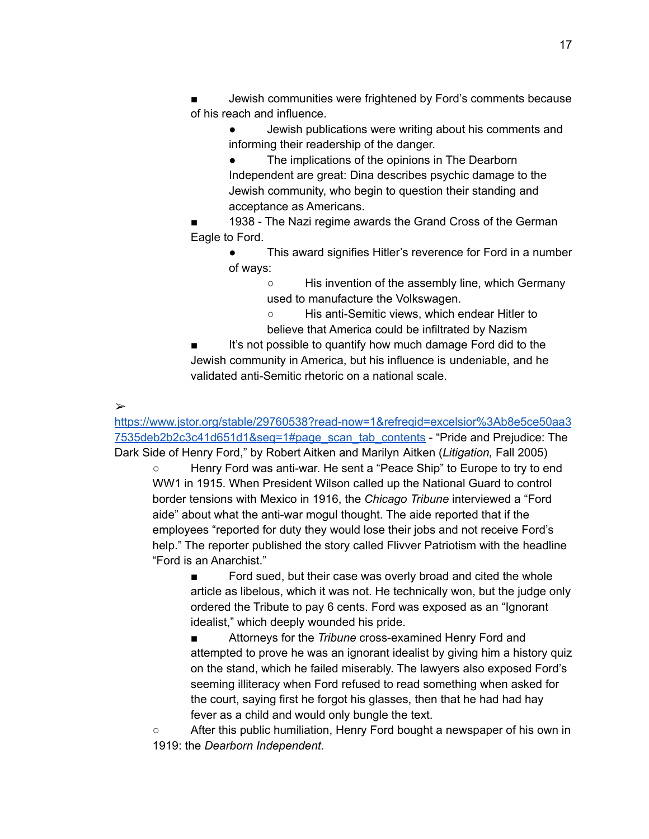- Jewish communities were frightened by Ford's comments because of his reach and influence.
	- Jewish publications were writing about his comments and informing their readership of the danger.
	- The implications of the opinions in The Dearborn Independent are great: Dina describes psychic damage to the Jewish community, who begin to question their standing and acceptance as Americans.
- 1938 The Nazi regime awards the Grand Cross of the German Eagle to Ford.
	- This award signifies Hitler's reverence for Ford in a number of ways:
		- His invention of the assembly line, which Germany used to manufacture the Volkswagen.
		- His anti-Semitic views, which endear Hitler to believe that America could be infiltrated by Nazism
- It's not possible to quantify how much damage Ford did to the Jewish community in America, but his influence is undeniable, and he validated anti-Semitic rhetoric on a national scale.

➢

[https://www.jstor.org/stable/29760538?read-now=1&refreqid=excelsior%3Ab8e5ce50aa3](https://www.jstor.org/stable/29760538?read-now=1&refreqid=excelsior%253Ab8e5ce50aa37535deb2b2c3c41d651d1&seq=1#page_scan_tab_contents) [7535deb2b2c3c41d651d1&seq=1#page\\_scan\\_tab\\_contents](https://www.jstor.org/stable/29760538?read-now=1&refreqid=excelsior%253Ab8e5ce50aa37535deb2b2c3c41d651d1&seq=1#page_scan_tab_contents) - "Pride and Prejudice: The Dark Side of Henry Ford," by Robert Aitken and Marilyn Aitken (*Litigation,* Fall 2005)

○ Henry Ford was anti-war. He sent a "Peace Ship" to Europe to try to end WW1 in 1915. When President Wilson called up the National Guard to control border tensions with Mexico in 1916, the *Chicago Tribune* interviewed a "Ford aide" about what the anti-war mogul thought. The aide reported that if the employees "reported for duty they would lose their jobs and not receive Ford's help." The reporter published the story called Flivver Patriotism with the headline "Ford is an Anarchist."

Ford sued, but their case was overly broad and cited the whole article as libelous, which it was not. He technically won, but the judge only ordered the Tribute to pay 6 cents. Ford was exposed as an "Ignorant idealist," which deeply wounded his pride.

■ Attorneys for the *Tribune* cross-examined Henry Ford and attempted to prove he was an ignorant idealist by giving him a history quiz on the stand, which he failed miserably. The lawyers also exposed Ford's seeming illiteracy when Ford refused to read something when asked for the court, saying first he forgot his glasses, then that he had had hay fever as a child and would only bungle the text.

○ After this public humiliation, Henry Ford bought a newspaper of his own in 1919: the *Dearborn Independent*.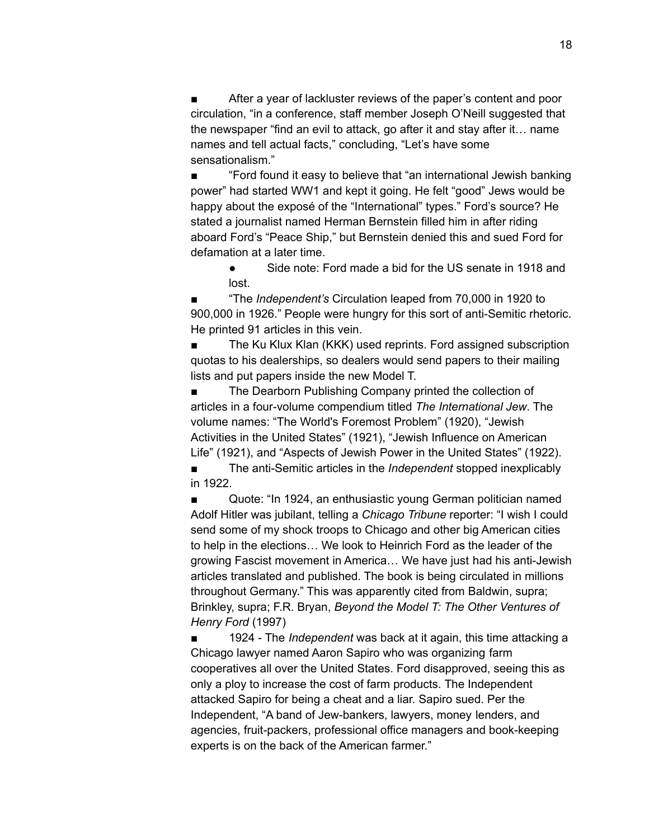■ After a year of lackluster reviews of the paper's content and poor circulation, "in a conference, staff member Joseph O'Neill suggested that the newspaper "find an evil to attack, go after it and stay after it… name names and tell actual facts," concluding, "Let's have some sensationalism."

■ "Ford found it easy to believe that "an international Jewish banking power" had started WW1 and kept it going. He felt "good" Jews would be happy about the exposé of the "International" types." Ford's source? He stated a journalist named Herman Bernstein filled him in after riding aboard Ford's "Peace Ship," but Bernstein denied this and sued Ford for defamation at a later time.

● Side note: Ford made a bid for the US senate in 1918 and lost.

■ "The *Independent's* Circulation leaped from 70,000 in 1920 to 900,000 in 1926." People were hungry for this sort of anti-Semitic rhetoric. He printed 91 articles in this vein.

■ The Ku Klux Klan (KKK) used reprints. Ford assigned subscription quotas to his dealerships, so dealers would send papers to their mailing lists and put papers inside the new Model T.

The Dearborn Publishing Company printed the collection of articles in a four-volume compendium titled *The International Jew*. The volume names: "The World's Foremost Problem" (1920), "Jewish Activities in the United States" (1921), "Jewish Influence on American Life" (1921), and "Aspects of Jewish Power in the United States" (1922).

■ The anti-Semitic articles in the *Independent* stopped inexplicably in 1922.

■ Quote: "In 1924, an enthusiastic young German politician named Adolf Hitler was jubilant, telling a *Chicago Tribune* reporter: "I wish I could send some of my shock troops to Chicago and other big American cities to help in the elections… We look to Heinrich Ford as the leader of the growing Fascist movement in America… We have just had his anti-Jewish articles translated and published. The book is being circulated in millions throughout Germany." This was apparently cited from Baldwin, supra; Brinkley, supra; F.R. Bryan, *Beyond the Model T: The Other Ventures of Henry Ford* (1997)

1924 - The *Independent* was back at it again, this time attacking a Chicago lawyer named Aaron Sapiro who was organizing farm cooperatives all over the United States. Ford disapproved, seeing this as only a ploy to increase the cost of farm products. The Independent attacked Sapiro for being a cheat and a liar. Sapiro sued. Per the Independent, "A band of Jew-bankers, lawyers, money lenders, and agencies, fruit-packers, professional office managers and book-keeping experts is on the back of the American farmer."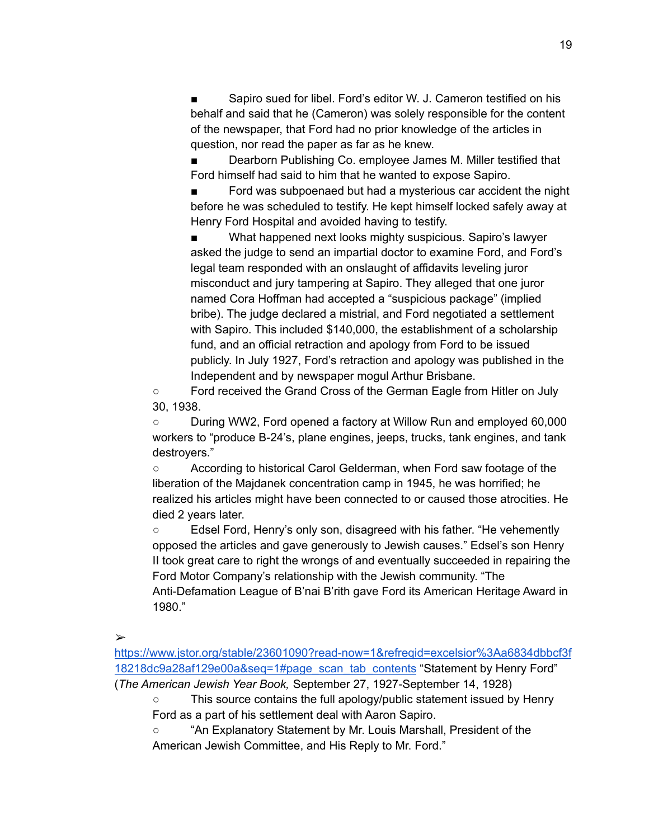■ Sapiro sued for libel. Ford's editor W. J. Cameron testified on his behalf and said that he (Cameron) was solely responsible for the content of the newspaper, that Ford had no prior knowledge of the articles in question, nor read the paper as far as he knew.

Dearborn Publishing Co. employee James M. Miller testified that Ford himself had said to him that he wanted to expose Sapiro.

Ford was subpoenaed but had a mysterious car accident the night before he was scheduled to testify. He kept himself locked safely away at Henry Ford Hospital and avoided having to testify.

What happened next looks mighty suspicious. Sapiro's lawyer asked the judge to send an impartial doctor to examine Ford, and Ford's legal team responded with an onslaught of affidavits leveling juror misconduct and jury tampering at Sapiro. They alleged that one juror named Cora Hoffman had accepted a "suspicious package" (implied bribe). The judge declared a mistrial, and Ford negotiated a settlement with Sapiro. This included \$140,000, the establishment of a scholarship fund, and an official retraction and apology from Ford to be issued publicly. In July 1927, Ford's retraction and apology was published in the Independent and by newspaper mogul Arthur Brisbane.

○ Ford received the Grand Cross of the German Eagle from Hitler on July 30, 1938.

○ During WW2, Ford opened a factory at Willow Run and employed 60,000 workers to "produce B-24's, plane engines, jeeps, trucks, tank engines, and tank destroyers."

○ According to historical Carol Gelderman, when Ford saw footage of the liberation of the Majdanek concentration camp in 1945, he was horrified; he realized his articles might have been connected to or caused those atrocities. He died 2 years later.

○ Edsel Ford, Henry's only son, disagreed with his father. "He vehemently opposed the articles and gave generously to Jewish causes." Edsel's son Henry II took great care to right the wrongs of and eventually succeeded in repairing the Ford Motor Company's relationship with the Jewish community. "The Anti-Defamation League of B'nai B'rith gave Ford its American Heritage Award in 1980."

➢

[https://www.jstor.org/stable/23601090?read-now=1&refreqid=excelsior%3Aa6834dbbcf3f](https://www.jstor.org/stable/23601090?read-now=1&refreqid=excelsior%253Aa6834dbbcf3f18218dc9a28af129e00a&seq=1#page_scan_tab_contents) [18218dc9a28af129e00a&seq=1#page\\_scan\\_tab\\_contents](https://www.jstor.org/stable/23601090?read-now=1&refreqid=excelsior%253Aa6834dbbcf3f18218dc9a28af129e00a&seq=1#page_scan_tab_contents) "Statement by Henry Ford" (*The American Jewish Year Book,* September 27, 1927-September 14, 1928)

○ This source contains the full apology/public statement issued by Henry Ford as a part of his settlement deal with Aaron Sapiro.

"An Explanatory Statement by Mr. Louis Marshall, President of the American Jewish Committee, and His Reply to Mr. Ford."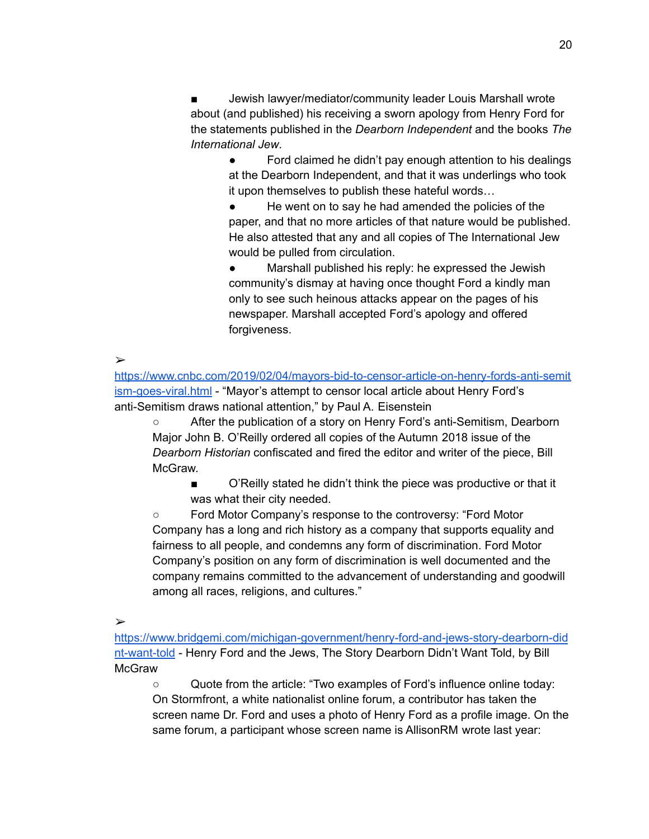Jewish lawyer/mediator/community leader Louis Marshall wrote about (and published) his receiving a sworn apology from Henry Ford for the statements published in the *Dearborn Independent* and the books *The International Jew*.

> ● Ford claimed he didn't pay enough attention to his dealings at the Dearborn Independent, and that it was underlings who took it upon themselves to publish these hateful words…

> He went on to say he had amended the policies of the paper, and that no more articles of that nature would be published. He also attested that any and all copies of The International Jew would be pulled from circulation.

Marshall published his reply: he expressed the Jewish community's dismay at having once thought Ford a kindly man only to see such heinous attacks appear on the pages of his newspaper. Marshall accepted Ford's apology and offered forgiveness.

➢

[https://www.cnbc.com/2019/02/04/mayors-bid-to-censor-article-on-henry-fords-anti-semit](https://www.cnbc.com/2019/02/04/mayors-bid-to-censor-article-on-henry-fords-anti-semitism-goes-viral.html) [ism-goes-viral.html](https://www.cnbc.com/2019/02/04/mayors-bid-to-censor-article-on-henry-fords-anti-semitism-goes-viral.html) - "Mayor's attempt to censor local article about Henry Ford's anti-Semitism draws national attention," by Paul A. Eisenstein

After the publication of a story on Henry Ford's anti-Semitism, Dearborn Major John B. O'Reilly ordered all copies of the Autumn 2018 issue of the *Dearborn Historian* confiscated and fired the editor and writer of the piece, Bill **McGraw** 

■ O'Reilly stated he didn't think the piece was productive or that it was what their city needed.

Ford Motor Company's response to the controversy: "Ford Motor Company has a long and rich history as a company that supports equality and fairness to all people, and condemns any form of discrimination. Ford Motor Company's position on any form of discrimination is well documented and the company remains committed to the advancement of understanding and goodwill among all races, religions, and cultures."

➢

[https://www.bridgemi.com/michigan-government/henry-ford-and-jews-story-dearborn-did](https://www.bridgemi.com/michigan-government/henry-ford-and-jews-story-dearborn-didnt-want-told) [nt-want-told](https://www.bridgemi.com/michigan-government/henry-ford-and-jews-story-dearborn-didnt-want-told) - Henry Ford and the Jews, The Story Dearborn Didn't Want Told, by Bill **McGraw** 

○ Quote from the article: "Two examples of Ford's influence online today: On Stormfront, a white nationalist online forum, a contributor has taken the screen name Dr. Ford and uses a photo of Henry Ford as a profile image. On the same forum, a participant whose screen name is AllisonRM wrote last year: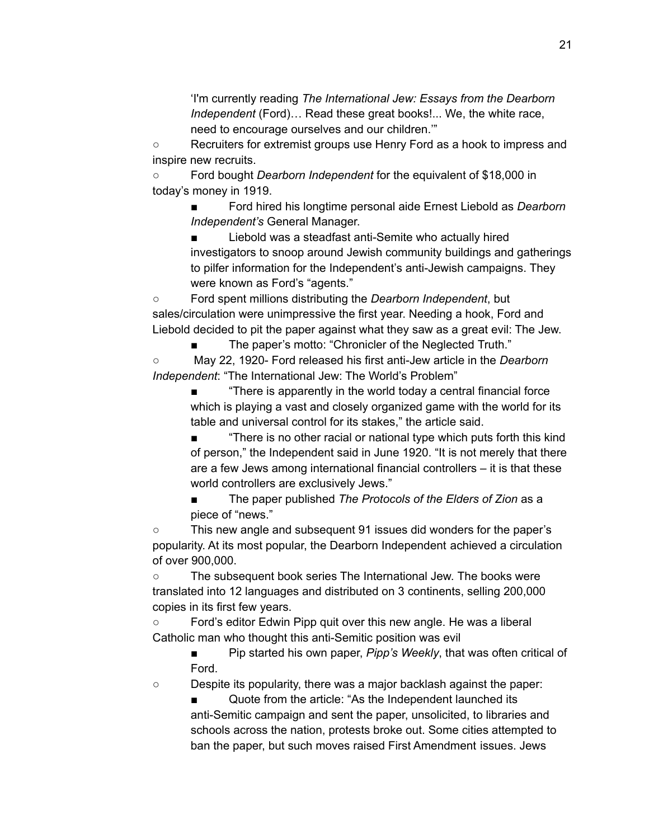'I'm currently reading *The International Jew: Essays from the Dearborn Independent* (Ford)… Read these great books!... We, the white race, need to encourage ourselves and our children.'"

○ Recruiters for extremist groups use Henry Ford as a hook to impress and inspire new recruits.

Ford bought *Dearborn Independent* for the equivalent of \$18,000 in today's money in 1919.

Ford hired his longtime personal aide Ernest Liebold as *Dearborn Independent's* General Manager.

Liebold was a steadfast anti-Semite who actually hired investigators to snoop around Jewish community buildings and gatherings to pilfer information for the Independent's anti-Jewish campaigns. They were known as Ford's "agents."

○ Ford spent millions distributing the *Dearborn Independent*, but sales/circulation were unimpressive the first year. Needing a hook, Ford and Liebold decided to pit the paper against what they saw as a great evil: The Jew.

The paper's motto: "Chronicler of the Neglected Truth." ○ May 22, 1920- Ford released his first anti-Jew article in the *Dearborn Independent*: "The International Jew: The World's Problem"

"There is apparently in the world today a central financial force which is playing a vast and closely organized game with the world for its table and universal control for its stakes," the article said.

"There is no other racial or national type which puts forth this kind of person," the Independent said in June 1920. "It is not merely that there are a few Jews among international financial controllers  $-$  it is that these world controllers are exclusively Jews."

■ The paper published *The Protocols of the Elders of Zion* as a piece of "news."

○ This new angle and subsequent 91 issues did wonders for the paper's popularity. At its most popular, the Dearborn Independent achieved a circulation of over 900,000.

○ The subsequent book series The International Jew. The books were translated into 12 languages and distributed on 3 continents, selling 200,000 copies in its first few years.

○ Ford's editor Edwin Pipp quit over this new angle. He was a liberal Catholic man who thought this anti-Semitic position was evil

■ Pip started his own paper, *Pipp's Weekly*, that was often critical of Ford.

○ Despite its popularity, there was a major backlash against the paper:

■ Quote from the article: "As the Independent launched its anti-Semitic campaign and sent the paper, unsolicited, to libraries and schools across the nation, protests broke out. Some cities attempted to ban the paper, but such moves raised First Amendment issues. Jews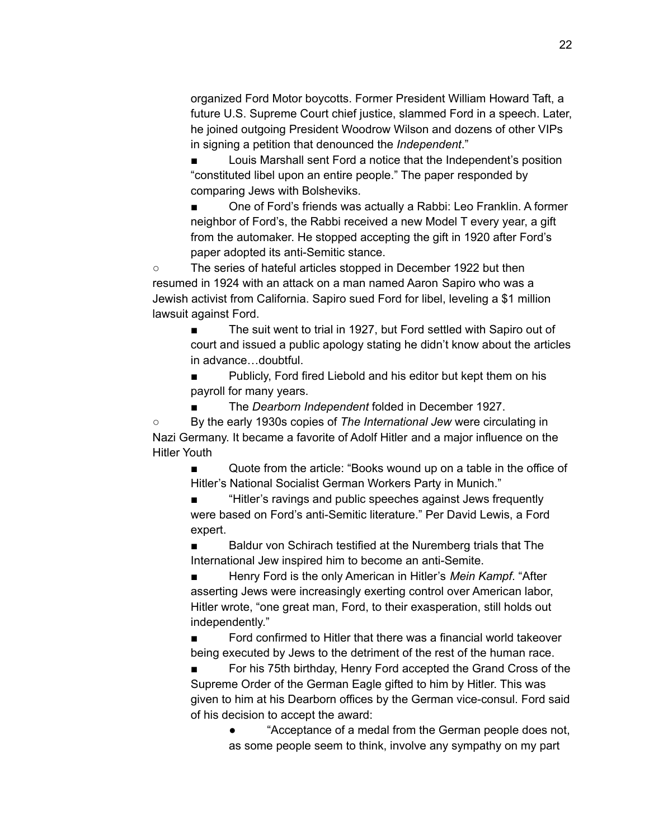organized Ford Motor boycotts. Former President William Howard Taft, a future U.S. Supreme Court chief justice, slammed Ford in a speech. Later, he joined outgoing President Woodrow Wilson and dozens of other VIPs in signing a petition that denounced the *Independent*."

Louis Marshall sent Ford a notice that the Independent's position "constituted libel upon an entire people." The paper responded by comparing Jews with Bolsheviks.

One of Ford's friends was actually a Rabbi: Leo Franklin. A former neighbor of Ford's, the Rabbi received a new Model T every year, a gift from the automaker. He stopped accepting the gift in 1920 after Ford's paper adopted its anti-Semitic stance.

○ The series of hateful articles stopped in December 1922 but then resumed in 1924 with an attack on a man named Aaron Sapiro who was a Jewish activist from California. Sapiro sued Ford for libel, leveling a \$1 million lawsuit against Ford.

The suit went to trial in 1927, but Ford settled with Sapiro out of court and issued a public apology stating he didn't know about the articles in advance…doubtful.

Publicly, Ford fired Liebold and his editor but kept them on his payroll for many years.

The *Dearborn Independent* folded in December 1927.

○ By the early 1930s copies of *The International Jew* were circulating in Nazi Germany. It became a favorite of Adolf Hitler and a major influence on the Hitler Youth

■ Quote from the article: "Books wound up on a table in the office of Hitler's National Socialist German Workers Party in Munich."

"Hitler's ravings and public speeches against Jews frequently were based on Ford's anti-Semitic literature." Per David Lewis, a Ford expert.

■ Baldur von Schirach testified at the Nuremberg trials that The International Jew inspired him to become an anti-Semite.

Henry Ford is the only American in Hitler's *Mein Kampf*. "After asserting Jews were increasingly exerting control over American labor, Hitler wrote, "one great man, Ford, to their exasperation, still holds out independently."

Ford confirmed to Hitler that there was a financial world takeover being executed by Jews to the detriment of the rest of the human race.

For his 75th birthday, Henry Ford accepted the Grand Cross of the Supreme Order of the German Eagle gifted to him by Hitler. This was given to him at his Dearborn offices by the German vice-consul. Ford said of his decision to accept the award:

> "Acceptance of a medal from the German people does not, as some people seem to think, involve any sympathy on my part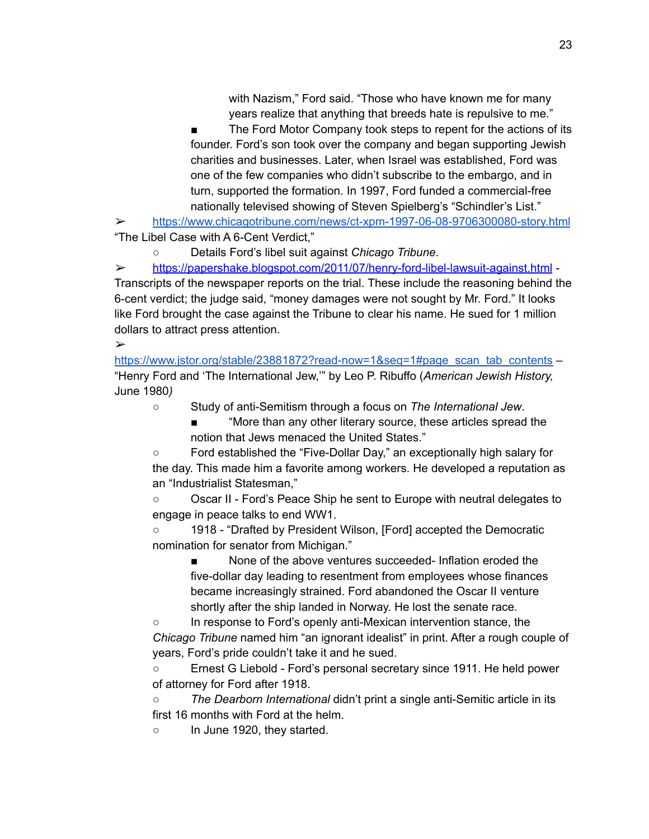with Nazism," Ford said. "Those who have known me for many years realize that anything that breeds hate is repulsive to me."

The Ford Motor Company took steps to repent for the actions of its founder. Ford's son took over the company and began supporting Jewish charities and businesses. Later, when Israel was established, Ford was one of the few companies who didn't subscribe to the embargo, and in turn, supported the formation. In 1997, Ford funded a commercial-free nationally televised showing of Steven Spielberg's "Schindler's List."

➢ <https://www.chicagotribune.com/news/ct-xpm-1997-06-08-9706300080-story.html> "The Libel Case with A 6-Cent Verdict,"

○ Details Ford's libel suit against *Chicago Tribune*.

➢ <https://papershake.blogspot.com/2011/07/henry-ford-libel-lawsuit-against.html> - Transcripts of the newspaper reports on the trial. These include the reasoning behind the 6-cent verdict; the judge said, "money damages were not sought by Mr. Ford." It looks like Ford brought the case against the Tribune to clear his name. He sued for 1 million dollars to attract press attention. ➢

[https://www.jstor.org/stable/23881872?read-now=1&seq=1#page\\_scan\\_tab\\_contents](https://www.jstor.org/stable/23881872?read-now=1&seq=1#page_scan_tab_contents) – "Henry Ford and 'The International Jew,'" by Leo P. Ribuffo (*American Jewish History,* June 1980*)*

- Study of anti-Semitism through a focus on *The International Jew*.
	- "More than any other literary source, these articles spread the notion that Jews menaced the United States."

○ Ford established the "Five-Dollar Day," an exceptionally high salary for the day. This made him a favorite among workers. He developed a reputation as an "Industrialist Statesman,"

○ Oscar II - Ford's Peace Ship he sent to Europe with neutral delegates to engage in peace talks to end WW1.

○ 1918 - "Drafted by President Wilson, [Ford] accepted the Democratic nomination for senator from Michigan."

■ None of the above ventures succeeded- Inflation eroded the five-dollar day leading to resentment from employees whose finances became increasingly strained. Ford abandoned the Oscar II venture shortly after the ship landed in Norway. He lost the senate race.

○ In response to Ford's openly anti-Mexican intervention stance, the *Chicago Tribune* named him "an ignorant idealist" in print. After a rough couple of years, Ford's pride couldn't take it and he sued.

○ Ernest G Liebold - Ford's personal secretary since 1911. He held power of attorney for Ford after 1918.

○ *The Dearborn International* didn't print a single anti-Semitic article in its first 16 months with Ford at the helm.

○ In June 1920, they started.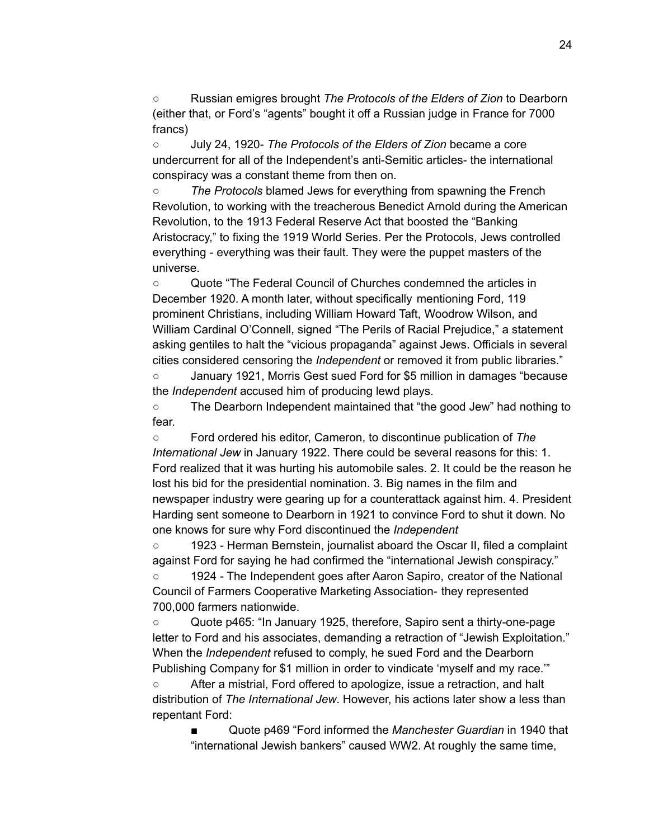○ Russian emigres brought *The Protocols of the Elders of Zion* to Dearborn (either that, or Ford's "agents" bought it off a Russian judge in France for 7000 francs)

○ July 24, 1920- *The Protocols of the Elders of Zion* became a core undercurrent for all of the Independent's anti-Semitic articles- the international conspiracy was a constant theme from then on.

○ *The Protocols* blamed Jews for everything from spawning the French Revolution, to working with the treacherous Benedict Arnold during the American Revolution, to the 1913 Federal Reserve Act that boosted the "Banking Aristocracy," to fixing the 1919 World Series. Per the Protocols, Jews controlled everything - everything was their fault. They were the puppet masters of the universe.

○ Quote "The Federal Council of Churches condemned the articles in December 1920. A month later, without specifically mentioning Ford, 119 prominent Christians, including William Howard Taft, Woodrow Wilson, and William Cardinal O'Connell, signed "The Perils of Racial Prejudice," a statement asking gentiles to halt the "vicious propaganda" against Jews. Officials in several cities considered censoring the *Independent* or removed it from public libraries."

○ January 1921, Morris Gest sued Ford for \$5 million in damages "because the *Independent* accused him of producing lewd plays.

○ The Dearborn Independent maintained that "the good Jew" had nothing to fear.

○ Ford ordered his editor, Cameron, to discontinue publication of *The International Jew* in January 1922. There could be several reasons for this: 1. Ford realized that it was hurting his automobile sales. 2. It could be the reason he lost his bid for the presidential nomination. 3. Big names in the film and newspaper industry were gearing up for a counterattack against him. 4. President Harding sent someone to Dearborn in 1921 to convince Ford to shut it down. No one knows for sure why Ford discontinued the *Independent*

○ 1923 - Herman Bernstein, journalist aboard the Oscar II, filed a complaint against Ford for saying he had confirmed the "international Jewish conspiracy."

1924 - The Independent goes after Aaron Sapiro, creator of the National Council of Farmers Cooperative Marketing Association- they represented 700,000 farmers nationwide.

○ Quote p465: "In January 1925, therefore, Sapiro sent a thirty-one-page letter to Ford and his associates, demanding a retraction of "Jewish Exploitation." When the *Independent* refused to comply, he sued Ford and the Dearborn Publishing Company for \$1 million in order to vindicate 'myself and my race.'"

○ After a mistrial, Ford offered to apologize, issue a retraction, and halt distribution of *The International Jew*. However, his actions later show a less than repentant Ford:

■ Quote p469 "Ford informed the *Manchester Guardian* in 1940 that "international Jewish bankers" caused WW2. At roughly the same time,